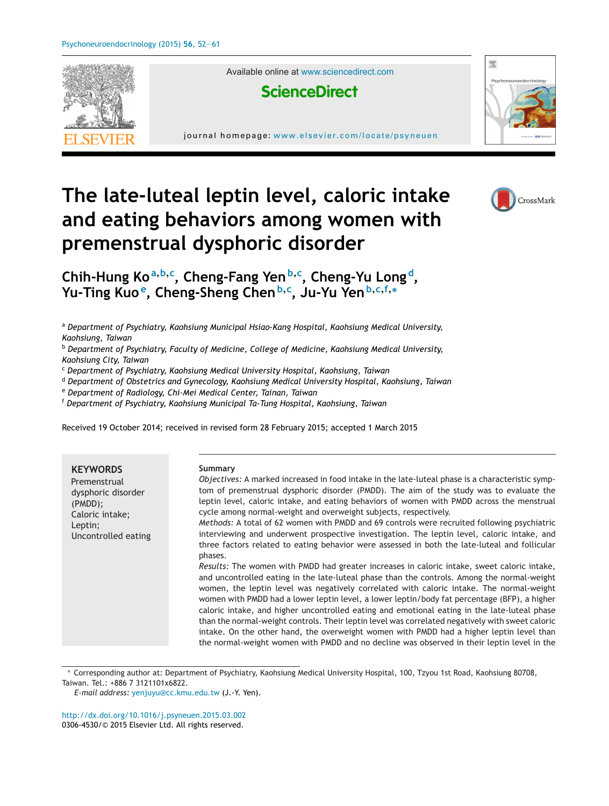

Available online at [www.sciencedirect.com](http://www.sciencedirect.com/science/journal/03064530)



journal homepage: <www.elsevier.com/locate/psyneuen>



# **The late-luteal leptin level, caloric intake and eating behaviors among women with premenstrual dysphoric disorder**



**Chih-Hung Ko<sup>a</sup>,b,<sup>c</sup> , Cheng-Fang Yen<sup>b</sup>,<sup>c</sup> , Cheng-Yu Long d, Yu-Ting Kuo e, Cheng-Sheng Chen<sup>b</sup>,<sup>c</sup> , Ju-Yu Yen<sup>b</sup>,c,f,<sup>∗</sup>**

<sup>a</sup> *Department of Psychiatry, Kaohsiung Municipal Hsiao-Kang Hospital, Kaohsiung Medical University, Kaohsiung, Taiwan*

<sup>b</sup> *Department of Psychiatry, Faculty of Medicine, College of Medicine, Kaohsiung Medical University, Kaohsiung City, Taiwan*

<sup>c</sup> *Department of Psychiatry, Kaohsiung Medical University Hospital, Kaohsiung, Taiwan*

<sup>d</sup> *Department of Obstetrics and Gynecology, Kaohsiung Medical University Hospital, Kaohsiung, Taiwan*

<sup>e</sup> *Department of Radiology, Chi-Mei Medical Center, Tainan, Taiwan*

<sup>f</sup> *Department of Psychiatry, Kaohsiung Municipal Ta-Tung Hospital, Kaohsiung, Taiwan*

Received 19 October 2014; received in revised form 28 February 2015; accepted 1 March 2015

| <b>KEYWORDS</b><br>Premenstrual<br>dysphoric disorder<br>$(PMDD)$ ;<br>Caloric intake;<br>Leptin;<br>Uncontrolled eating | Summary<br>Objectives: A marked increased in food intake in the late-luteal phase is a characteristic symp-<br>tom of premenstrual dysphoric disorder (PMDD). The aim of the study was to evaluate the<br>leptin level, caloric intake, and eating behaviors of women with PMDD across the menstrual<br>cycle among normal-weight and overweight subjects, respectively.<br>Methods: A total of 62 women with PMDD and 69 controls were recruited following psychiatric<br>interviewing and underwent prospective investigation. The leptin level, caloric intake, and<br>three factors related to eating behavior were assessed in both the late-luteal and follicular<br>phases.<br>Results: The women with PMDD had greater increases in caloric intake, sweet caloric intake,<br>and uncontrolled eating in the late-luteal phase than the controls. Among the normal-weight<br>women, the leptin level was negatively correlated with caloric intake. The normal-weight<br>women with PMDD had a lower leptin level, a lower leptin/body fat percentage (BFP), a higher<br>caloric intake, and higher uncontrolled eating and emotional eating in the late-luteal phase<br>than the normal-weight controls. Their leptin level was correlated negatively with sweet caloric |
|--------------------------------------------------------------------------------------------------------------------------|----------------------------------------------------------------------------------------------------------------------------------------------------------------------------------------------------------------------------------------------------------------------------------------------------------------------------------------------------------------------------------------------------------------------------------------------------------------------------------------------------------------------------------------------------------------------------------------------------------------------------------------------------------------------------------------------------------------------------------------------------------------------------------------------------------------------------------------------------------------------------------------------------------------------------------------------------------------------------------------------------------------------------------------------------------------------------------------------------------------------------------------------------------------------------------------------------------------------------------------------------------------------------------|
|                                                                                                                          | intake. On the other hand, the overweight women with PMDD had a higher leptin level than<br>the normal-weight women with PMDD and no decline was observed in their leptin level in the                                                                                                                                                                                                                                                                                                                                                                                                                                                                                                                                                                                                                                                                                                                                                                                                                                                                                                                                                                                                                                                                                           |

∗ Corresponding author at: Department of Psychiatry, Kaohsiung Medical University Hospital, 100, Tzyou 1st Road, Kaohsiung 80708, Taiwan. Tel.: +886 7 3121101x6822.

[http://dx.doi.org/10.1016/j.psyneuen.2015.03.002](dx.doi.org/10.1016/j.psyneuen.2015.03.002) 0306-4530/© 2015 Elsevier Ltd. All rights reserved.

*E-mail address:* [yenjuyu@cc.kmu.edu.tw](mailto:yenjuyu@cc.kmu.edu.tw) (J.-Y. Yen).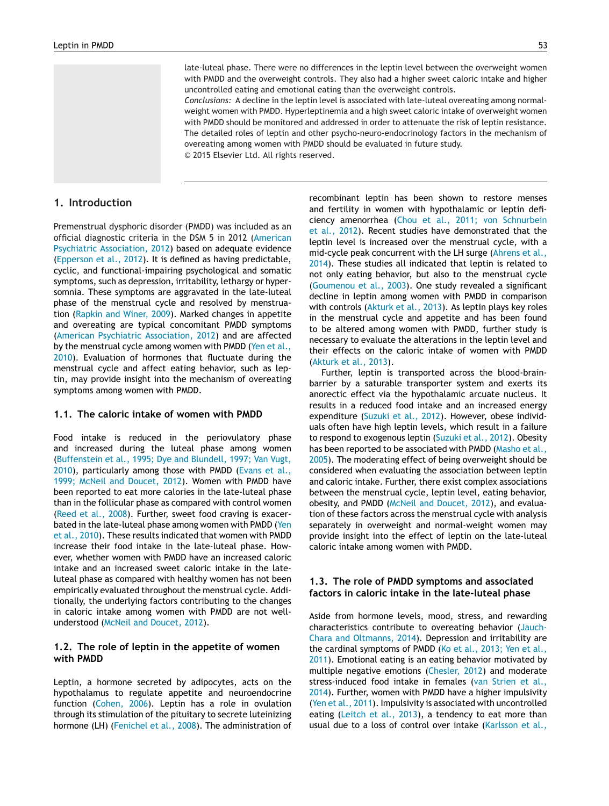late-luteal phase. There were no differences in the leptin level between the overweight women with PMDD and the overweight controls. They also had a higher sweet caloric intake and higher uncontrolled eating and emotional eating than the overweight controls.

*Conclusions:* A decline in the leptin level is associated with late-luteal overeating among normalweight women with PMDD. Hyperleptinemia and a high sweet caloric intake of overweight women with PMDD should be monitored and addressed in order to attenuate the risk of leptin resistance. The detailed roles of leptin and other psycho-neuro-endocrinology factors in the mechanism of overeating among women with PMDD should be evaluated in future study. © 2015 Elsevier Ltd. All rights reserved.

### **1. Introduction**

Premenstrual dysphoric disorder (PMDD) was included as an official diagnostic criteria in the DSM 5 in 2012 ([American](#page--1-0) [Psychiatric](#page--1-0) [Association,](#page--1-0) [2012\)](#page--1-0) based on adequate evidence ([Epperson](#page--1-0) et [al.,](#page--1-0) [2012\).](#page--1-0) It is defined as having predictable, cyclic, and functional-impairing psychological and somatic symptoms, such as depression, irritability, lethargy or hypersomnia. These symptoms are aggravated in the late-luteal phase of the menstrual cycle and resolved by menstruation ([Rapkin](#page--1-0) [and](#page--1-0) [Winer,](#page--1-0) [2009\).](#page--1-0) Marked changes in appetite and overeating are typical concomitant PMDD symptoms ([American](#page--1-0) [Psychiatric](#page--1-0) [Association,](#page--1-0) [2012\)](#page--1-0) and are affected by the menstrual cycle among women with PMDD [\(Yen](#page--1-0) et [al.,](#page--1-0) [2010\).](#page--1-0) Evaluation of hormones that fluctuate during the menstrual cycle and affect eating behavior, such as leptin, may provide insight into the mechanism of overeating symptoms among women with PMDD.

#### **1.1. The caloric intake of women with PMDD**

Food intake is reduced in the periovulatory phase and increased during the luteal phase among women ([Buffenstein](#page--1-0) et [al.,](#page--1-0) [1995;](#page--1-0) [Dye](#page--1-0) [and](#page--1-0) [Blundell,](#page--1-0) [1997;](#page--1-0) [Van](#page--1-0) [Vugt,](#page--1-0) [2010\),](#page--1-0) particularly among those with PMDD [\(Evans](#page--1-0) et [al.,](#page--1-0) [1999;](#page--1-0) [McNeil](#page--1-0) [and](#page--1-0) [Doucet,](#page--1-0) [2012\).](#page--1-0) Women with PMDD have been reported to eat more calories in the late-luteal phase than in the follicular phase as compared with control women ([Reed](#page--1-0) et [al.,](#page--1-0) [2008\).](#page--1-0) Further, sweet food craving is exacer-bated in the late-luteal phase among women with PMDD ([Yen](#page--1-0) et [al.,](#page--1-0) [2010\).](#page--1-0) These results indicated that women with PMDD increase their food intake in the late-luteal phase. However, whether women with PMDD have an increased caloric intake and an increased sweet caloric intake in the lateluteal phase as compared with healthy women has not been empirically evaluated throughout the menstrual cycle. Additionally, the underlying factors contributing to the changes in caloric intake among women with PMDD are not wellunderstood [\(McNeil](#page--1-0) [and](#page--1-0) [Doucet,](#page--1-0) [2012\).](#page--1-0)

#### **1.2. The role of leptin in the appetite of women with PMDD**

Leptin, a hormone secreted by adipocytes, acts on the hypothalamus to regulate appetite and neuroendocrine function ([Cohen,](#page--1-0) [2006\).](#page--1-0) Leptin has a role in ovulation through its stimulation of the pituitary to secrete luteinizing hormone (LH) [\(Fenichel](#page--1-0) et [al.,](#page--1-0) [2008\).](#page--1-0) The administration of recombinant leptin has been shown to restore menses and fertility in women with hypothalamic or leptin deficiency amenorrhea ([Chou](#page--1-0) et [al.,](#page--1-0) [2011;](#page--1-0) [von](#page--1-0) [Schnurbein](#page--1-0) et [al.,](#page--1-0) [2012\).](#page--1-0) Recent studies have demonstrated that the leptin level is increased over the menstrual cycle, with a mid-cycle peak concurrent with the LH surge [\(Ahrens](#page--1-0) et [al.,](#page--1-0) [2014\).](#page--1-0) These studies all indicated that leptin is related to not only eating behavior, but also to the menstrual cycle ([Goumenou](#page--1-0) et [al.,](#page--1-0) [2003\).](#page--1-0) One study revealed a significant decline in leptin among women with PMDD in comparison with controls ([Akturk](#page--1-0) et [al.,](#page--1-0) [2013\).](#page--1-0) As leptin plays key roles in the menstrual cycle and appetite and has been found to be altered among women with PMDD, further study is necessary to evaluate the alterations in the leptin level and their effects on the caloric intake of women with PMDD ([Akturk](#page--1-0) et [al.,](#page--1-0) [2013\).](#page--1-0)

Further, leptin is transported across the blood-brainbarrier by a saturable transporter system and exerts its anorectic effect via the hypothalamic arcuate nucleus. It results in a reduced food intake and an increased energy expenditure ([Suzuki](#page--1-0) et [al.,](#page--1-0) [2012\).](#page--1-0) However, obese individuals often have high leptin levels, which result in a failure to respond to exogenous leptin [\(Suzuki](#page--1-0) et [al.,](#page--1-0) [2012\).](#page--1-0) Obesity has been reported to be associated with PMDD ([Masho](#page--1-0) et [al.,](#page--1-0) [2005\).](#page--1-0) The moderating effect of being overweight should be considered when evaluating the association between leptin and caloric intake. Further, there exist complex associations between the menstrual cycle, leptin level, eating behavior, obesity, and PMDD [\(McNeil](#page--1-0) [and](#page--1-0) [Doucet,](#page--1-0) [2012\),](#page--1-0) and evaluation of these factors across the menstrual cycle with analysis separately in overweight and normal-weight women may provide insight into the effect of leptin on the late-luteal caloric intake among women with PMDD.

#### **1.3. The role of PMDD symptoms and associated factors in caloric intake in the late-luteal phase**

Aside from hormone levels, mood, stress, and rewarding characteristics contribute to overeating behavior [\(Jauch-](#page--1-0)Chara [and](#page--1-0) [Oltmanns,](#page--1-0) [2014\).](#page--1-0) Depression and irritability are the cardinal symptoms of PMDD [\(Ko](#page--1-0) et [al.,](#page--1-0) [2013;](#page--1-0) [Yen](#page--1-0) et al., [2011\).](#page--1-0) Emotional eating is an eating behavior motivated by multiple negative emotions [\(Chesler,](#page--1-0) [2012\)](#page--1-0) and moderate stress-induced food intake in females [\(van](#page--1-0) [Strien](#page--1-0) et [al.,](#page--1-0) [2014\).](#page--1-0) Further, women with PMDD have a higher impulsivity ([Yen](#page--1-0) et [al.,](#page--1-0) [2011\).](#page--1-0) Impulsivity is associated with uncontrolled eating ([Leitch](#page--1-0) et [al.,](#page--1-0) [2013\),](#page--1-0) a tendency to eat more than usual due to a loss of control over intake [\(Karlsson](#page--1-0) et [al.,](#page--1-0)